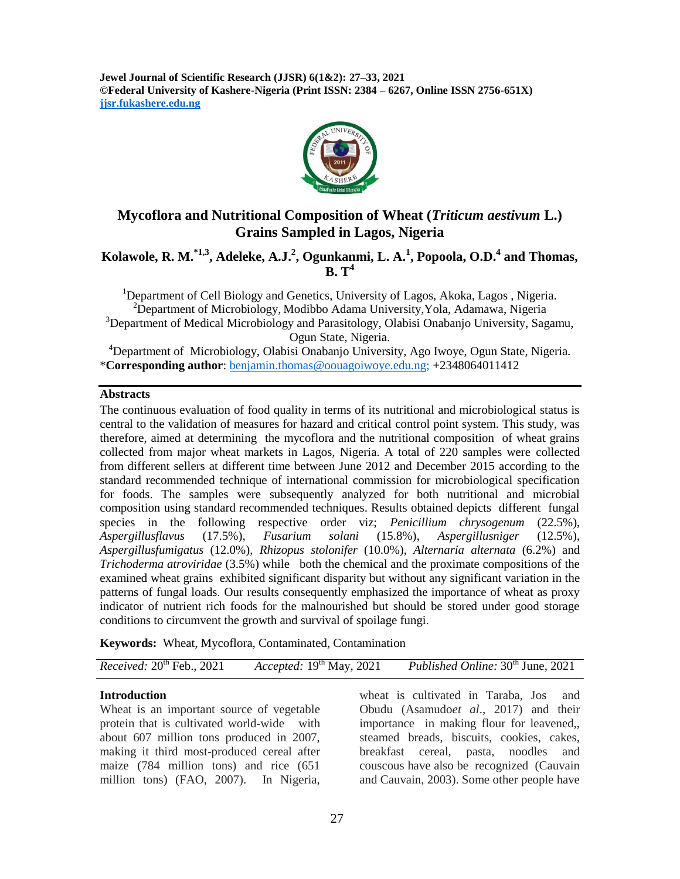**Jewel Journal of Scientific Research (JJSR) 6(1&2): 27–33, 2021 ©Federal University of Kashere-Nigeria (Print ISSN: 2384 – 6267, Online ISSN 2756-651X) jjsr.fukashere.edu.ng**



# **Mycoflora and Nutritional Composition of Wheat (***Triticum aestivum* **L.) Grains Sampled in Lagos, Nigeria**

## **Kolawole, R. M.\*1,3, Adeleke, A.J.<sup>2</sup> , Ogunkanmi, L. A.<sup>1</sup> , Popoola, O.D. 4 and Thomas, B. T<sup>4</sup>**

<sup>1</sup>Department of Cell Biology and Genetics, University of Lagos, Akoka, Lagos, Nigeria. <sup>2</sup>Department of Microbiology, Modibbo Adama University, Yola, Adamawa, Nigeria <sup>3</sup>Department of Medical Microbiology and Parasitology, Olabisi Onabanjo University, Sagamu, Ogun State, Nigeria.

<sup>4</sup>Department of Microbiology, Olabisi Onabanjo University, Ago Iwoye, Ogun State, Nigeria. \***Corresponding author**: [benjamin.thomas@oouagoiwoye.edu.ng;](mailto:benjamin.thomas@oouagoiwoye.edu.ng) +2348064011412

#### **Abstracts**

The continuous evaluation of food quality in terms of its nutritional and microbiological status is central to the validation of measures for hazard and critical control point system. This study, was therefore, aimed at determining the mycoflora and the nutritional composition of wheat grains collected from major wheat markets in Lagos, Nigeria. A total of 220 samples were collected from different sellers at different time between June 2012 and December 2015 according to the standard recommended technique of international commission for microbiological specification for foods. The samples were subsequently analyzed for both nutritional and microbial composition using standard recommended techniques. Results obtained depicts different fungal species in the following respective order viz; *Penicillium chrysogenum* (22.5%), *Aspergillusflavus* (17.5%), *Fusarium solani* (15.8%), *Aspergillusniger* (12.5%), *Aspergillusfumigatus* (12.0%), *Rhizopus stolonifer* (10.0%), *Alternaria alternata* (6.2%) and *Trichoderma atroviridae* (3.5%) while both the chemical and the proximate compositions of the examined wheat grains exhibited significant disparity but without any significant variation in the patterns of fungal loads. Our results consequently emphasized the importance of wheat as proxy indicator of nutrient rich foods for the malnourished but should be stored under good storage conditions to circumvent the growth and survival of spoilage fungi.

**Keywords:** Wheat, Mycoflora, Contaminated, Contamination

*Received:*  $20^{th}$  Feb.,  $2021$  *Accepted:*  $19^{th}$  May,  $2021$  *Published Online:*  $30^{th}$  June,  $2021$ 

#### **Introduction**

Wheat is an important source of vegetable protein that is cultivated world-wide with about 607 million tons produced in 2007, making it third most-produced cereal after maize (784 million tons) and rice (651 million tons) (FAO, 2007). In Nigeria,

wheat is cultivated in Taraba, Jos and Obudu (Asamudo*et al*., 2017) and their importance in making flour for leavened,, steamed breads, biscuits, cookies, cakes, breakfast cereal, pasta, noodles and couscous have also be recognized (Cauvain and Cauvain, 2003). Some other people have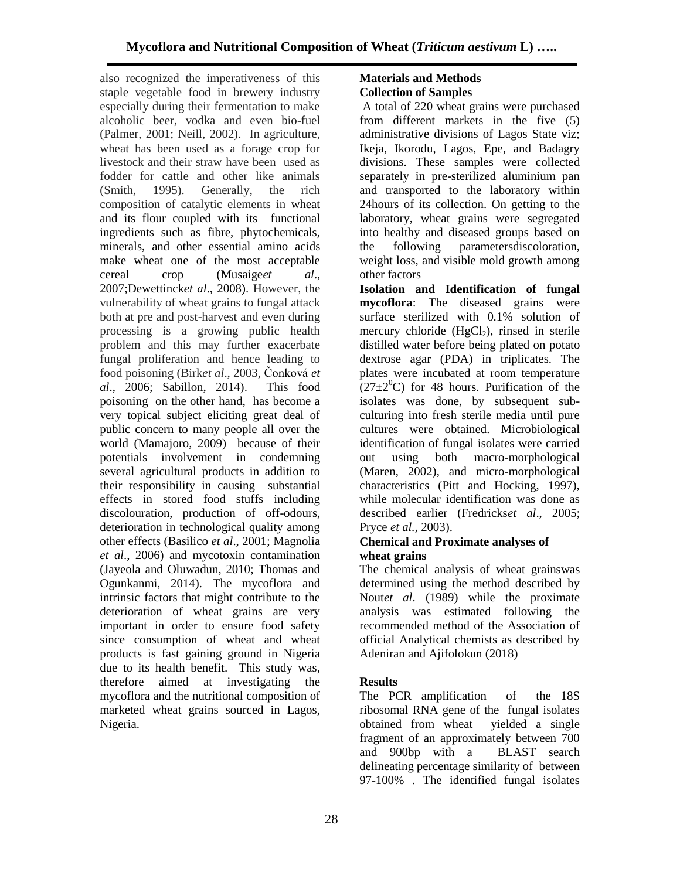also recognized the imperativeness of this staple vegetable food in brewery industry especially during their fermentation to make alcoholic beer, vodka and even bio-fuel (Palmer, 2001; Neill, 2002). In agriculture, wheat has been used as a forage crop for livestock and their straw have been used as fodder for cattle and other like animals (Smith, 1995). Generally, the rich composition of catalytic elements in wheat and its flour coupled with its functional ingredients such as fibre, phytochemicals, minerals, and other essential amino acids make wheat one of the most acceptable cereal crop (Musaige*et al*., 2007;Dewettinck*et al*., 2008). However, the vulnerability of wheat grains to fungal attack both at pre and post-harvest and even during processing is a growing public health problem and this may further exacerbate fungal proliferation and hence leading to food poisoning (Birk*et al*., 2003, Čonková *et al*., 2006; Sabillon, 2014). This food poisoning on the other hand, has become a very topical subject eliciting great deal of public concern to many people all over the world (Mamajoro, 2009) because of their potentials involvement in condemning several agricultural products in addition to their responsibility in causing substantial effects in stored food stuffs including discolouration, production of off-odours, deterioration in technological quality among other effects (Basilico *et al*., 2001; Magnolia *et al*., 2006) and mycotoxin contamination (Jayeola and Oluwadun, 2010; Thomas and Ogunkanmi, 2014). The mycoflora and intrinsic factors that might contribute to the deterioration of wheat grains are very important in order to ensure food safety since consumption of wheat and wheat products is fast gaining ground in Nigeria due to its health benefit. This study was, therefore aimed at investigating the mycoflora and the nutritional composition of marketed wheat grains sourced in Lagos, Nigeria.

### **Materials and Methods Collection of Samples**

A total of 220 wheat grains were purchased from different markets in the five (5) administrative divisions of Lagos State viz; Ikeja, Ikorodu, Lagos, Epe, and Badagry divisions. These samples were collected separately in pre-sterilized aluminium pan and transported to the laboratory within 24hours of its collection. On getting to the laboratory, wheat grains were segregated into healthy and diseased groups based on the following parametersdiscoloration, weight loss, and visible mold growth among other factors

**Isolation and Identification of fungal mycoflora**: The diseased grains were surface sterilized with 0.1% solution of mercury chloride  $(HgCl<sub>2</sub>)$ , rinsed in sterile distilled water before being plated on potato dextrose agar (PDA) in triplicates. The plates were incubated at room temperature  $(27\pm2^0C)$  for 48 hours. Purification of the isolates was done, by subsequent subculturing into fresh sterile media until pure cultures were obtained. Microbiological identification of fungal isolates were carried out using both macro-morphological (Maren, 2002), and micro-morphological characteristics (Pitt and Hocking, 1997), while molecular identification was done as described earlier (Fredricks*et al*., 2005; Pryce *et al.,* 2003).

### **Chemical and Proximate analyses of wheat grains**

The chemical analysis of wheat grainswas determined using the method described by Nout*et al*. (1989) while the proximate analysis was estimated following the recommended method of the Association of official Analytical chemists as described by Adeniran and Ajifolokun (2018)

# **Results**

The PCR amplification of the 18S ribosomal RNA gene of the fungal isolates obtained from wheat yielded a single fragment of an approximately between 700 and 900bp with a BLAST search delineating percentage similarity of between 97-100% . The identified fungal isolates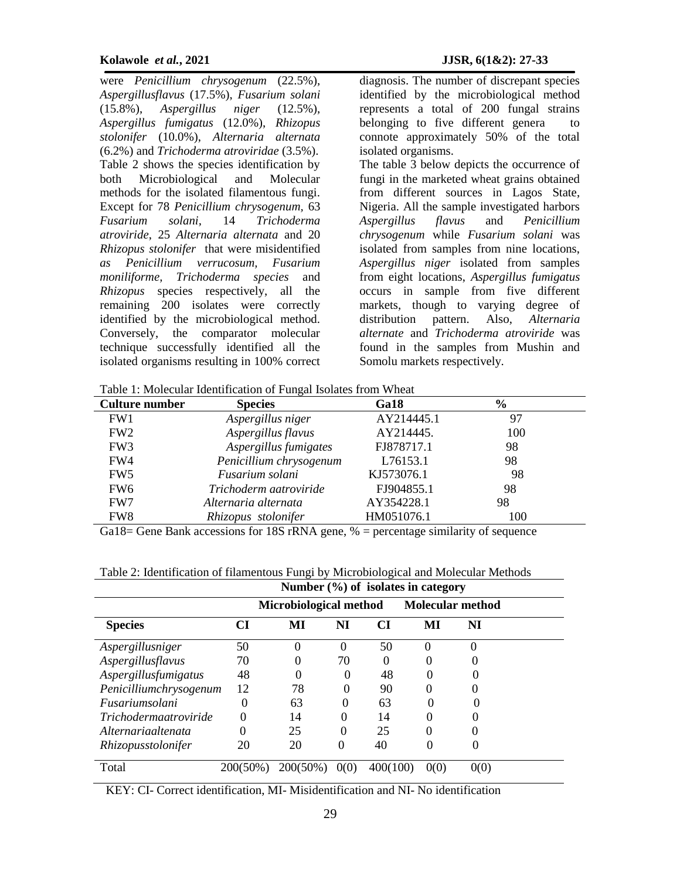were *Penicillium chrysogenum* (22.5%), *Aspergillusflavus* (17.5%), *Fusarium solani* (15.8%), *Aspergillus niger* (12.5%), *Aspergillus fumigatus* (12.0%), *Rhizopus stolonifer* (10.0%), *Alternaria alternata* (6.2%) and *Trichoderma atroviridae* (3.5%). Table 2 shows the species identification by both Microbiological and Molecular methods for the isolated filamentous fungi. Except for 78 *Penicillium chrysogenum,* 63 *Fusarium solani,* 14 *Trichoderma atroviride*, 25 *Alternaria alternata* and 20 *Rhizopus stolonifer* that were misidentified *as Penicillium verrucosum, Fusarium moniliforme, Trichoderma species* and *Rhizopus* species respectively, all the remaining 200 isolates were correctly identified by the microbiological method. Conversely, the comparator molecular technique successfully identified all the isolated organisms resulting in 100% correct

diagnosis. The number of discrepant species identified by the microbiological method represents a total of 200 fungal strains belonging to five different genera to connote approximately 50% of the total isolated organisms. The table 3 below depicts the occurrence of fungi in the marketed wheat grains obtained from different sources in Lagos State, Nigeria. All the sample investigated harbors *Aspergillus flavus* and *Penicillium chrysogenum* while *Fusarium solani* was isolated from samples from nine locations, *Aspergillus niger* isolated from samples from eight locations, *Aspergillus fumigatus* occurs in sample from five different markets, though to varying degree of distribution pattern. Also, *Alternaria alternate* and *Trichoderma atroviride* was found in the samples from Mushin and Somolu markets respectively.

Table 1: Molecular Identification of Fungal Isolates from Wheat

| Tuble 1. Molecului Rechtmotion of I thight housition willow |                         |            |               |  |  |  |  |  |
|-------------------------------------------------------------|-------------------------|------------|---------------|--|--|--|--|--|
| <b>Culture number</b>                                       | <b>Species</b>          | Ga18       | $\frac{6}{6}$ |  |  |  |  |  |
| FW1                                                         | Aspergillus niger       | AY214445.1 | 97            |  |  |  |  |  |
| FW <sub>2</sub>                                             | Aspergillus flavus      | AY214445.  | 100           |  |  |  |  |  |
| FW <sub>3</sub>                                             | Aspergillus fumigates   | FJ878717.1 | 98            |  |  |  |  |  |
| FW4                                                         | Penicillium chrysogenum | L76153.1   | 98            |  |  |  |  |  |
| FW <sub>5</sub>                                             | Fusarium solani         | KJ573076.1 | 98            |  |  |  |  |  |
| FW <sub>6</sub>                                             | Trichoderm aatroviride  | FJ904855.1 | 98            |  |  |  |  |  |
| FW7                                                         | Alternaria alternata    | AY354228.1 | 98            |  |  |  |  |  |
| FW8                                                         | Rhizopus stolonifer     | HM051076.1 | 100           |  |  |  |  |  |

Ga18 = Gene Bank accessions for 18S rRNA gene, % = percentage similarity of sequence

Table 2: Identification of filamentous Fungi by Microbiological and Molecular Methods

|                              | Number $(\%)$ of isolates in category |                        |          |          |                         |      |  |
|------------------------------|---------------------------------------|------------------------|----------|----------|-------------------------|------|--|
|                              |                                       | Microbiological method |          |          | <b>Molecular method</b> |      |  |
| <b>Species</b>               | СI                                    | MI                     | NI       | CI       | MI                      | NI   |  |
| Aspergillusniger             | 50                                    | 0                      | 0        | 50       |                         | 0    |  |
| Aspergillusflavus            | 70                                    | 0                      | 70       | $\Omega$ |                         |      |  |
| Aspergillusfumigatus         | 48                                    | 0                      |          | 48       |                         |      |  |
| Penicilliumchrysogenum       | 12                                    | 78                     |          | 90       |                         |      |  |
| <i>Fusariumsolani</i>        | 0                                     | 63                     |          | 63       |                         |      |  |
| <i>Trichodermaatroviride</i> |                                       | 14                     |          | 14       |                         |      |  |
| Alternariaaltenata           |                                       | 25                     |          | 25       |                         |      |  |
| Rhizopusstolonifer           | 20                                    | 20                     | $\theta$ | 40       |                         | 0    |  |
| Total                        | $200(50\%)$                           | $200(50\%)$            | 0(0)     | 400(100) | 0(0)                    | 0(0) |  |

KEY: CI- Correct identification, MI- Misidentification and NI- No identification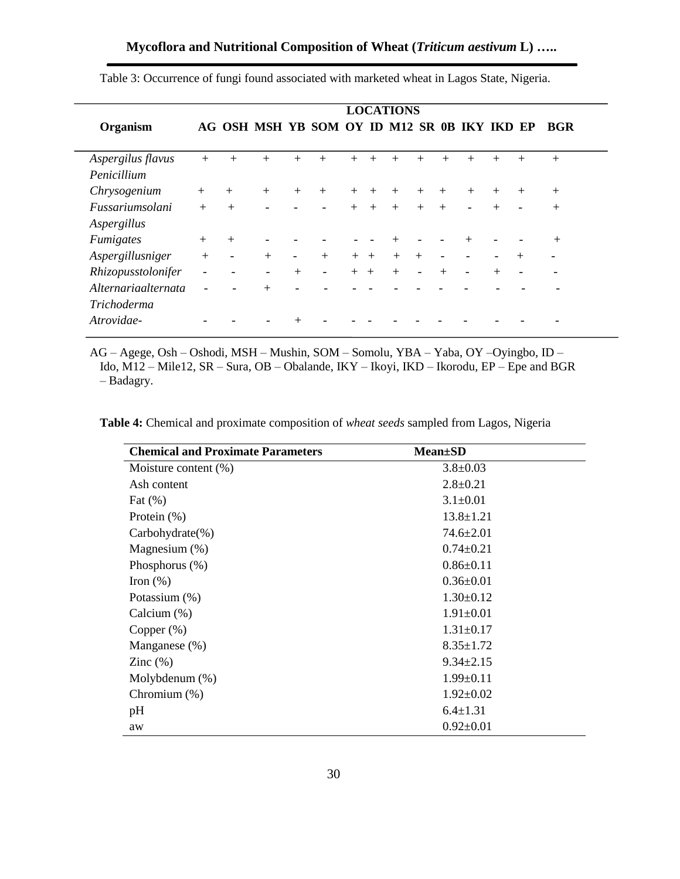|                               | <b>LOCATIONS</b>         |                          |                          |                          |                                              |         |        |        |                          |     |                |        |        |            |
|-------------------------------|--------------------------|--------------------------|--------------------------|--------------------------|----------------------------------------------|---------|--------|--------|--------------------------|-----|----------------|--------|--------|------------|
| Organism                      |                          |                          |                          |                          | AG OSH MSH YB SOM OY ID M12 SR 0B IKY IKD EP |         |        |        |                          |     |                |        |        | <b>BGR</b> |
| Aspergilus flavus             | $+$                      | $^{+}$                   |                          |                          | $^{+}$                                       |         | $^{+}$ |        | $^{+}$                   |     |                |        | $^{+}$ | $+$        |
| Penicillium                   |                          |                          |                          |                          |                                              |         |        |        |                          |     |                |        |        |            |
| Chrysogenium                  | $+$                      | $+$                      | $+$                      | $+$                      | $+$                                          | $+$ $+$ |        | $^{+}$ | $+$                      | $+$ | $+$            | $^{+}$ | $^{+}$ | $^{+}$     |
| <i><b>Fussariumsolani</b></i> | $+$                      | $+$                      |                          |                          | $\blacksquare$                               | $+$     | $+$    | $+$    | $+$                      | $+$ | $\blacksquare$ | $+$    |        | $+$        |
| Aspergillus                   |                          |                          |                          |                          |                                              |         |        |        |                          |     |                |        |        |            |
| <b>Fumigates</b>              | $^{+}$                   | $+$                      |                          |                          |                                              |         |        |        |                          |     | $\mathrm{+}$   |        |        | $^{+}$     |
| Aspergillusniger              | $+$                      | $\overline{\phantom{a}}$ | $+$                      | $\overline{\phantom{a}}$ | $+$                                          | $+$     | $+$    | $+$    | $+$                      |     |                |        | $+$    |            |
| Rhizopusstolonifer            | $\overline{\phantom{0}}$ |                          | $\overline{\phantom{a}}$ | $+$                      | $\overline{\phantom{a}}$                     | $+$ $+$ |        | $+$    | $\overline{\phantom{a}}$ | $+$ |                | $+$    |        |            |
| Alternariaalternata           | $\overline{\phantom{0}}$ |                          | $^{+}$                   |                          |                                              |         |        |        |                          |     |                |        |        |            |
| <b>Trichoderma</b>            |                          |                          |                          |                          |                                              |         |        |        |                          |     |                |        |        |            |
| Atrovidae-                    |                          |                          |                          |                          |                                              |         |        |        |                          |     |                |        |        |            |

Table 3: Occurrence of fungi found associated with marketed wheat in Lagos State, Nigeria.

AG – Agege, Osh – Oshodi, MSH – Mushin, SOM – Somolu, YBA – Yaba, OY –Oyingbo, ID – Ido, M12 – Mile12, SR – Sura, OB – Obalande, IKY – Ikoyi, IKD – Ikorodu, EP – Epe and BGR – Badagry.

**Table 4:** Chemical and proximate composition of *wheat seeds* sampled from Lagos, Nigeria

| <b>Chemical and Proximate Parameters</b> | <b>Mean</b> ±SD |
|------------------------------------------|-----------------|
| Moisture content (%)                     | $3.8 \pm 0.03$  |
| Ash content                              | $2.8 \pm 0.21$  |
| Fat $(\%)$                               | $3.1 \pm 0.01$  |
| Protein $(\%)$                           | $13.8 \pm 1.21$ |
| $Carbohydrate(\% )$                      | $74.6 \pm 2.01$ |
| Magnesium $(\%)$                         | $0.74 \pm 0.21$ |
| Phosphorus $(\%)$                        | $0.86 \pm 0.11$ |
| Iron $(\%)$                              | $0.36 \pm 0.01$ |
| Potassium (%)                            | $1.30 \pm 0.12$ |
| Calcium (%)                              | $1.91 \pm 0.01$ |
| Copper $(\%)$                            | $1.31 \pm 0.17$ |
| Manganese (%)                            | $8.35 \pm 1.72$ |
| Zinc $(\%)$                              | $9.34 \pm 2.15$ |
| Molybdenum $(\%)$                        | $1.99 \pm 0.11$ |
| Chromium $(\%)$                          | $1.92 \pm 0.02$ |
| pH                                       | $6.4 \pm 1.31$  |
| aw                                       | $0.92 \pm 0.01$ |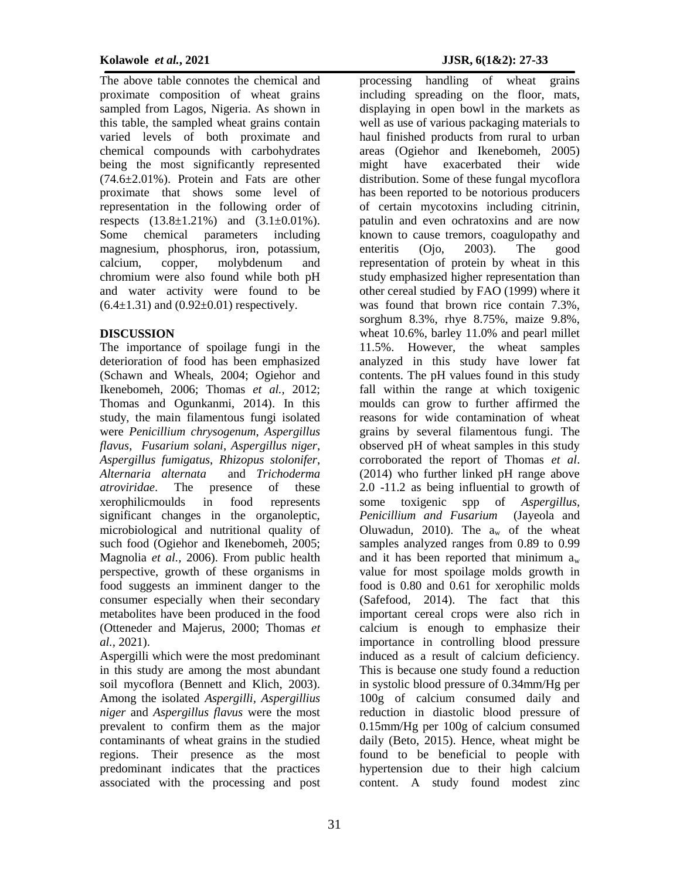The above table connotes the chemical and proximate composition of wheat grains sampled from Lagos, Nigeria. As shown in this table, the sampled wheat grains contain varied levels of both proximate and chemical compounds with carbohydrates being the most significantly represented (74.6±2.01%). Protein and Fats are other proximate that shows some level of representation in the following order of respects  $(13.8 \pm 1.21\%)$  and  $(3.1 \pm 0.01\%)$ . Some chemical parameters including magnesium, phosphorus, iron, potassium, calcium, copper, molybdenum and chromium were also found while both pH and water activity were found to be  $(6.4 \pm 1.31)$  and  $(0.92 \pm 0.01)$  respectively.

#### **DISCUSSION**

The importance of spoilage fungi in the deterioration of food has been emphasized (Schawn and Wheals, 2004; Ogiehor and Ikenebomeh, 2006; Thomas *et al.,* 2012; Thomas and Ogunkanmi, 2014). In this study, the main filamentous fungi isolated were *Penicillium chrysogenum*, *Aspergillus flavus*, *Fusarium solani*, *Aspergillus niger*, *Aspergillus fumigatus*, *Rhizopus stolonifer*, *Alternaria alternata* and *Trichoderma atroviridae*. The presence of these xerophilicmoulds in food represents significant changes in the organoleptic, microbiological and nutritional quality of such food (Ogiehor and Ikenebomeh, 2005; Magnolia *et al.,* 2006). From public health perspective, growth of these organisms in food suggests an imminent danger to the consumer especially when their secondary metabolites have been produced in the food (Otteneder and Majerus, 2000; Thomas *et al.,* 2021).

Aspergilli which were the most predominant in this study are among the most abundant soil mycoflora (Bennett and Klich, 2003). Among the isolated *Aspergilli, Aspergillius niger* and *Aspergillus flavus* were the most prevalent to confirm them as the major contaminants of wheat grains in the studied regions. Their presence as the most predominant indicates that the practices associated with the processing and post

processing handling of wheat grains including spreading on the floor, mats, displaying in open bowl in the markets as well as use of various packaging materials to haul finished products from rural to urban areas (Ogiehor and Ikenebomeh, 2005) might have exacerbated their wide distribution. Some of these fungal mycoflora has been reported to be notorious producers of certain mycotoxins including citrinin, patulin and even ochratoxins and are now known to cause tremors, coagulopathy and enteritis (Ojo, 2003). The good representation of protein by wheat in this study emphasized higher representation than other cereal studied by FAO (1999) where it was found that brown rice contain 7.3%, sorghum 8.3%, rhye 8.75%, maize 9.8%, wheat 10.6%, barley 11.0% and pearl millet 11.5%. However, the wheat samples analyzed in this study have lower fat contents. The pH values found in this study fall within the range at which toxigenic moulds can grow to further affirmed the reasons for wide contamination of wheat grains by several filamentous fungi. The observed pH of wheat samples in this study corroborated the report of Thomas *et al*. (2014) who further linked pH range above 2.0 -11.2 as being influential to growth of some toxigenic spp of *Aspergillus, Penicillium and Fusarium* (Jayeola and Oluwadun, 2010). The  $a_w$  of the wheat samples analyzed ranges from 0.89 to 0.99 and it has been reported that minimum  $a_w$ value for most spoilage molds growth in food is 0.80 and 0.61 for xerophilic molds (Safefood, 2014). The fact that this important cereal crops were also rich in calcium is enough to emphasize their importance in controlling blood pressure induced as a result of calcium deficiency. This is because one study found a reduction in systolic blood pressure of 0.34mm/Hg per 100g of calcium consumed daily and reduction in diastolic blood pressure of 0.15mm/Hg per 100g of calcium consumed daily (Beto, 2015). Hence, wheat might be found to be beneficial to people with hypertension due to their high calcium content. A study found modest zinc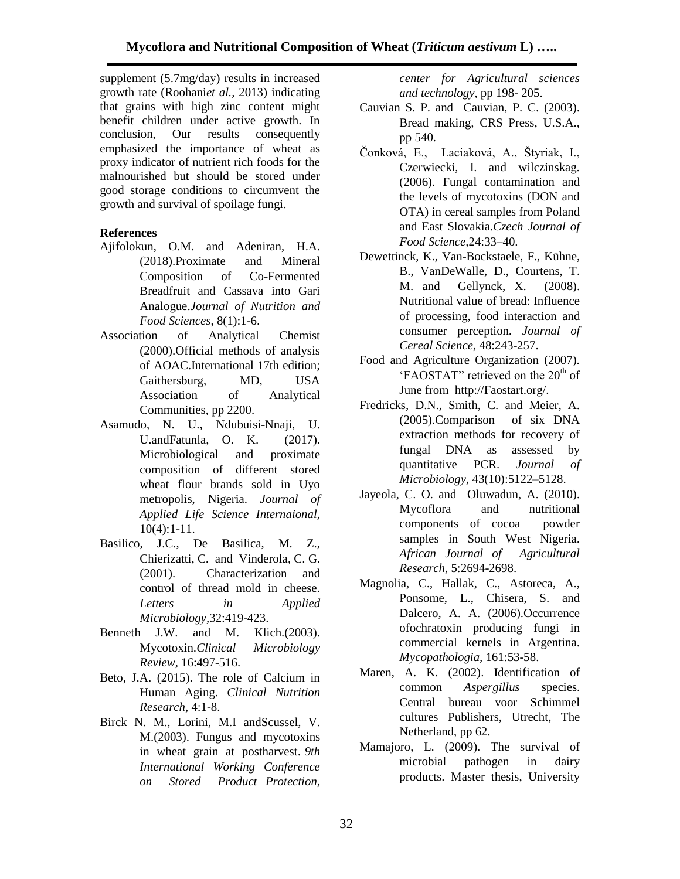supplement (5.7mg/day) results in increased growth rate (Roohani*et al.,* 2013) indicating that grains with high zinc content might benefit children under active growth. In conclusion, Our results consequently emphasized the importance of wheat as proxy indicator of nutrient rich foods for the malnourished but should be stored under good storage conditions to circumvent the growth and survival of spoilage fungi.

### **References**

- Ajifolokun, O.M. and Adeniran, H.A. (2018).Proximate and Mineral Composition of Co-Fermented Breadfruit and Cassava into Gari Analogue.*Journal of Nutrition and Food Sciences*, 8(1):1-6.
- Association of Analytical Chemist (2000).Official methods of analysis of AOAC.International 17th edition; Gaithersburg, MD, USA Association of Analytical Communities, pp 2200.
- Asamudo, N. U., Ndubuisi-Nnaji, U. U.andFatunla, O. K. (2017). Microbiological and proximate composition of different stored wheat flour brands sold in Uyo metropolis, Nigeria. *Journal of Applied Life Science Internaional,*  $10(4):1-11.$
- Basilico, J.C., De Basilica, M. Z., Chierizatti, C. and Vinderola, C. G. (2001). Characterization and control of thread mold in cheese. *Letters in Applied Microbiology,*32:419-423.
- Benneth J.W. and M. Klich.(2003). Mycotoxin.*Clinical Microbiology Review,* 16:497-516.
- Beto, J.A. (2015). The role of Calcium in Human Aging. *Clinical Nutrition Research*, 4:1-8.
- Birck N. M., Lorini, M.I andScussel, V. M.(2003). Fungus and mycotoxins in wheat grain at postharvest*. 9th International Working Conference on Stored Product Protection,*

*center for Agricultural sciences and technology*, pp 198- 205.

- Cauvian S. P. and Cauvian, P. C. (2003). Bread making*,* CRS Press, U.S.A., pp 540.
- Čonková, E., Laciaková, A., Štyriak, I., Czerwiecki, I. and wilczinskag. (2006). Fungal contamination and the levels of mycotoxins (DON and OTA) in cereal samples from Poland and East Slovakia.*Czech Journal of Food Science,*24:33–40.
- Dewettinck, K., Van-Bockstaele, F., Kühne, B., VanDeWalle, D., Courtens, T. M. and Gellynck, X. (2008). Nutritional value of bread: Influence of processing, food interaction and consumer perception. *Journal of Cereal Science*, 48:243-257.
- Food and Agriculture Organization (2007). 'FAOSTAT'' retrieved on the  $20<sup>th</sup>$  of June from http://Faostart.org/.
- Fredricks, D.N., Smith, C. and Meier, A. (2005).Comparison of six DNA extraction methods for recovery of fungal DNA as assessed by quantitative PCR. *Journal of Microbiology,* 43(10):5122–5128.
- Jayeola, C. O. and Oluwadun, A. (2010). Mycoflora and nutritional components of cocoa powder samples in South West Nigeria. *African Journal of Agricultural Research*, 5:2694-2698.
- Magnolia, C., Hallak, C., Astoreca, A., Ponsome, L., Chisera, S. and Dalcero, A. A. (2006).Occurrence ofochratoxin producing fungi in commercial kernels in Argentina. *Mycopathologia,* 161:53-58.
- Maren, A. K. (2002). Identification of common *Aspergillus* species. Central bureau voor Schimmel cultures Publishers, Utrecht, The Netherland, pp 62.
- Mamajoro, L. (2009). The survival of microbial pathogen in dairy products. Master thesis, University